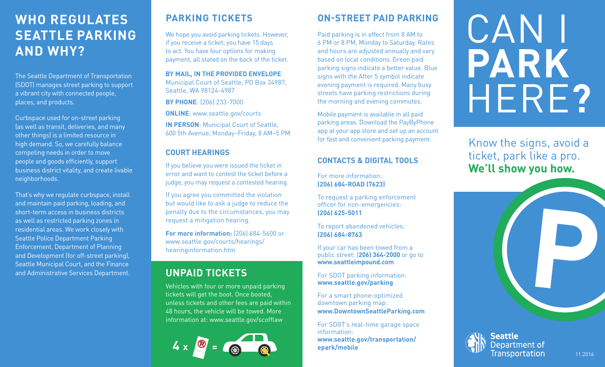# **WHO REGULATES SEATTLE PARKING AND WHY?**

The Seattle Department of Transportation (SDOT) manages street parking to support a vibrant city with connected people, places, and products.

Curbspace used for on-street parking (as well as transit, deliveries, and many other things) is a limited resource in high demand. So, we carefully balance competing needs in order to move people and goods efficiently, support business district vitality, and create livable neighborhoods.

That's why we regulate curbspace, install and maintain paid parking, loading, and short-term access in business districts as well as restricted parking zones in residential areas. We work closely with Seattle Police Department Parking Enforcement, Department of Planning and Development (for off-street parking), Seattle Municipal Court, and the Finance

# **PARKING TICKETS**

We hope you avoid parking tickets. However, if you receive a ticket, you have 15 days to act. You have four options for making payment, all stated on the back of the ticket.

**BY MAIL, IN THE PROVIDED ENVELOPE**: Municipal Court of Seattle, PO Box 34987, Seattle, WA 98124-4987

**BY PHONE**: (206) 233-7000

**ONLINE**: www.seattle.gov/courts

**IN PERSON**: Municipal Court of Seattle, 600 5th Avenue, Monday–Friday, 8 AM–5 PM

# **COURT HEARINGS**

If you believe you were issued the ticket in error and want to contest the ticket before a judge, you may request a contested hearing.

If you agree you committed the violation but would like to ask a judge to reduce the penalty due to the circumstances, you may request a mitigation hearing.

**For more information:** [206] 684-5600 or www.seattle.gov/courts/hearings/ hearinginformation.htm

# **UNPAID TICKETS**

Vehicles with four or more unpaid parking tickets will get the boot. Once booted, unless tickets and other fees are paid within 48 hours, the vehicle will be towed. More information at: www.seattle.gov/scofflaw



# **ON-STREET PAID PARKING**

Paid parking is in effect from 8 AM to 6 PM or 8 PM, Monday to Saturday. Rates and hours are adjusted annually and vary based on local conditions. Green paid parking signs indicate a better value. Blue signs with the After 5 symbol indicate evening payment is required. Many busy streets have parking restrictions during the morning and evening commutes.

Mobile payment is available in all paid parking areas. Download the PayByPhone app at your app store and set up an account for fast and convenient parking payment.

# **CONTACTS & DIGITAL TOOLS**

For more information: **(206) 684-ROAD (7623)**

To request a parking enforcement officer for non-emergencies: **(206) 625-5011**

To report abandoned vehicles: **(206) 684-8763**

If your car has been towed from a public street: (**206) 364-2000** or go to **www.seattleimpound.com** 

For SDOT parking information: **www.seattle.gov/parking**

For a smart phone-optimized downtown parking map: **www.DowntownSeattleParking.com**

For SDOT's real-time garage space information: **www.seattle.gov/transportation/ epark/mobile**

# CAN I **PARK** HERE**?**

Know the signs, avoid a ticket, park like a pro. **We'll show you how.**